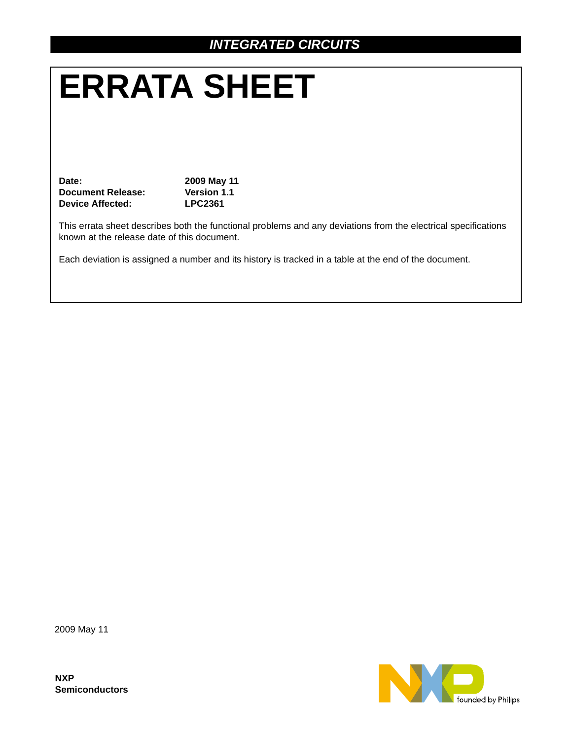# **ERRATA SHEET**

**Date: 2009 May 11 Document Release: Version 1.1 Device Affected: LPC2361**

This errata sheet describes both the functional problems and any deviations from the electrical specifications known at the release date of this document.

Each deviation is assigned a number and its history is tracked in a table at the end of the document.

2009 May 11

**NXP Semiconductors**

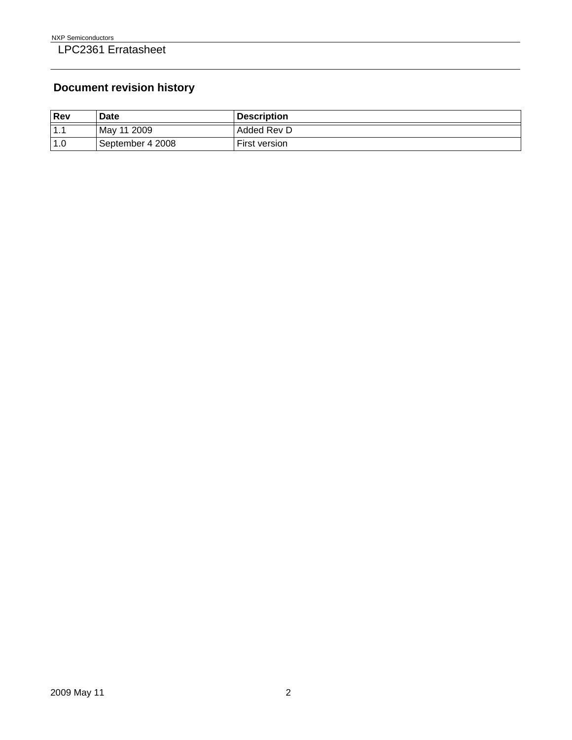### **Document revision history**

| <b>Rev</b> | Date             | <b>Description</b> |
|------------|------------------|--------------------|
| 1.1        | May 11 2009      | Added Rev D        |
| 1.0        | September 4 2008 | First version      |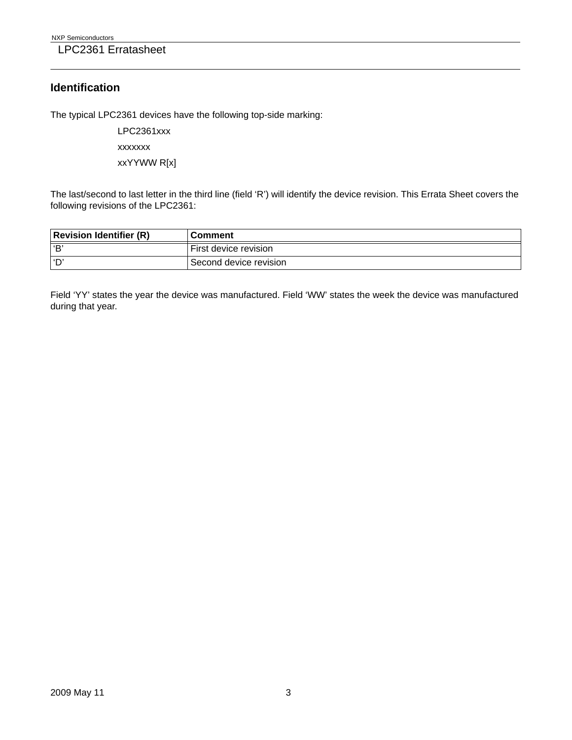#### **Identification**

The typical LPC2361 devices have the following top-side marking:

LPC2361xxx xxxxxxx xxYYWW R[x]

The last/second to last letter in the third line (field 'R') will identify the device revision. This Errata Sheet covers the following revisions of the LPC2361:

| <b>Revision Identifier (R)</b> | l Comment               |
|--------------------------------|-------------------------|
| ιΈB                            | l First device revision |
| 'D                             | Second device revision  |

Field 'YY' states the year the device was manufactured. Field 'WW' states the week the device was manufactured during that year.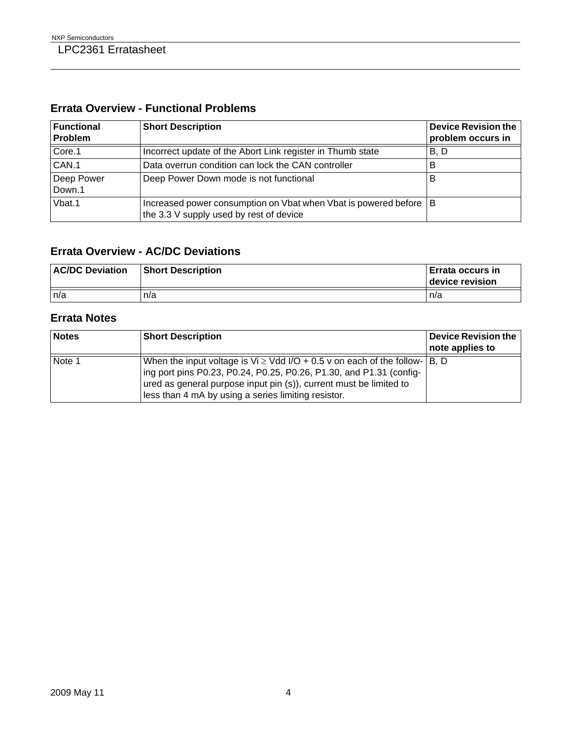## **Errata Overview - Functional Problems**

| <b>Functional</b><br>Problem | <b>Short Description</b>                                                                                       | <b>Device Revision the</b><br>problem occurs in |
|------------------------------|----------------------------------------------------------------------------------------------------------------|-------------------------------------------------|
| Core.1                       | Incorrect update of the Abort Link register in Thumb state                                                     | B.D                                             |
| CAN.1                        | Data overrun condition can lock the CAN controller                                                             | В                                               |
| Deep Power<br>Down.1         | Deep Power Down mode is not functional                                                                         | B                                               |
| Vbat.1                       | Increased power consumption on Vbat when Vbat is powered before   B<br>the 3.3 V supply used by rest of device |                                                 |

### **Errata Overview - AC/DC Deviations**

| <b>AC/DC Deviation</b> | <b>Short Description</b> | l Errata occurs in<br><b>device revision</b> |
|------------------------|--------------------------|----------------------------------------------|
| ∣n/a                   | n/a                      | n/a                                          |

#### **Errata Notes**

| <b>Notes</b> | <b>Short Description</b>                                                                                                                                                                                                                                                                | <b>Device Revision the</b><br>note applies to |
|--------------|-----------------------------------------------------------------------------------------------------------------------------------------------------------------------------------------------------------------------------------------------------------------------------------------|-----------------------------------------------|
| Note 1       | When the input voltage is $Vi \geq Vdd I/O + 0.5 v$ on each of the follow- $ B, D $<br>ing port pins P0.23, P0.24, P0.25, P0.26, P1.30, and P1.31 (config-<br>ured as general purpose input pin (s)), current must be limited to<br>less than 4 mA by using a series limiting resistor. |                                               |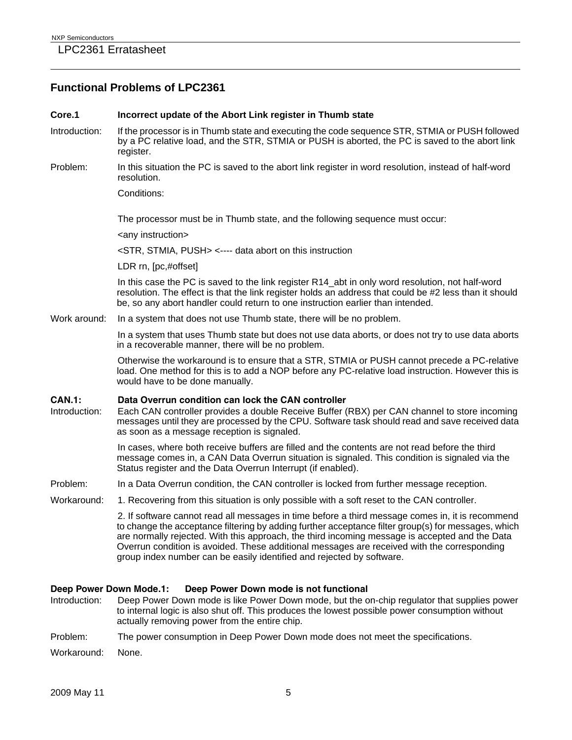#### **Functional Problems of LPC2361**

#### **Core.1 Incorrect update of the Abort Link register in Thumb state**

- Introduction: If the processor is in Thumb state and executing the code sequence STR, STMIA or PUSH followed by a PC relative load, and the STR, STMIA or PUSH is aborted, the PC is saved to the abort link register.
- Problem: In this situation the PC is saved to the abort link register in word resolution, instead of half-word resolution.

Conditions:

The processor must be in Thumb state, and the following sequence must occur:

<any instruction>

<STR, STMIA, PUSH> <---- data abort on this instruction

LDR rn, [pc,#offset]

In this case the PC is saved to the link register R14\_abt in only word resolution, not half-word resolution. The effect is that the link register holds an address that could be #2 less than it should be, so any abort handler could return to one instruction earlier than intended.

Work around: In a system that does not use Thumb state, there will be no problem.

In a system that uses Thumb state but does not use data aborts, or does not try to use data aborts in a recoverable manner, there will be no problem.

Otherwise the workaround is to ensure that a STR, STMIA or PUSH cannot precede a PC-relative load. One method for this is to add a NOP before any PC-relative load instruction. However this is would have to be done manually.

# **CAN.1: Data Overrun condition can lock the CAN controller**

Each CAN controller provides a double Receive Buffer (RBX) per CAN channel to store incoming messages until they are processed by the CPU. Software task should read and save received data as soon as a message reception is signaled.

> In cases, where both receive buffers are filled and the contents are not read before the third message comes in, a CAN Data Overrun situation is signaled. This condition is signaled via the Status register and the Data Overrun Interrupt (if enabled).

- Problem: In a Data Overrun condition, the CAN controller is locked from further message reception.
- Workaround: 1. Recovering from this situation is only possible with a soft reset to the CAN controller.

2. If software cannot read all messages in time before a third message comes in, it is recommend to change the acceptance filtering by adding further acceptance filter group(s) for messages, which are normally rejected. With this approach, the third incoming message is accepted and the Data Overrun condition is avoided. These additional messages are received with the corresponding group index number can be easily identified and rejected by software.

#### **Deep Power Down Mode.1: Deep Power Down mode is not functional**

- Introduction: Deep Power Down mode is like Power Down mode, but the on-chip regulator that supplies power to internal logic is also shut off. This produces the lowest possible power consumption without actually removing power from the entire chip.
- Problem: The power consumption in Deep Power Down mode does not meet the specifications.

Workaround: None.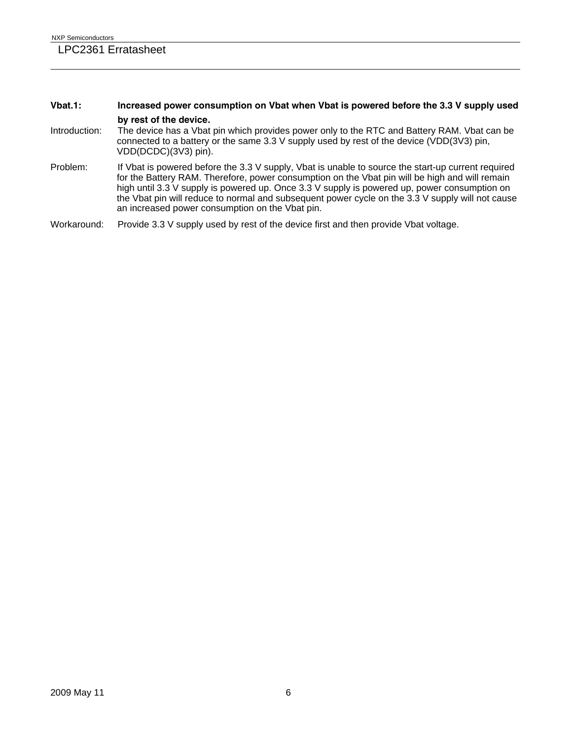| Vbat.1:       | Increased power consumption on Vbat when Vbat is powered before the 3.3 V supply used                                                                                                                                                                                                                                                                                                                                                                       |
|---------------|-------------------------------------------------------------------------------------------------------------------------------------------------------------------------------------------------------------------------------------------------------------------------------------------------------------------------------------------------------------------------------------------------------------------------------------------------------------|
|               | by rest of the device.                                                                                                                                                                                                                                                                                                                                                                                                                                      |
| Introduction: | The device has a Vbat pin which provides power only to the RTC and Battery RAM. Vbat can be<br>connected to a battery or the same 3.3 V supply used by rest of the device (VDD(3V3) pin,<br>VDD(DCDC)(3V3) pin).                                                                                                                                                                                                                                            |
| Problem:      | If Vbat is powered before the 3.3 V supply, Vbat is unable to source the start-up current required<br>for the Battery RAM. Therefore, power consumption on the Vbat pin will be high and will remain<br>high until 3.3 V supply is powered up. Once 3.3 V supply is powered up, power consumption on<br>the Vbat pin will reduce to normal and subsequent power cycle on the 3.3 V supply will not cause<br>an increased power consumption on the Vbat pin. |
| Workaround:   | Provide 3.3 V supply used by rest of the device first and then provide Vbat voltage.                                                                                                                                                                                                                                                                                                                                                                        |